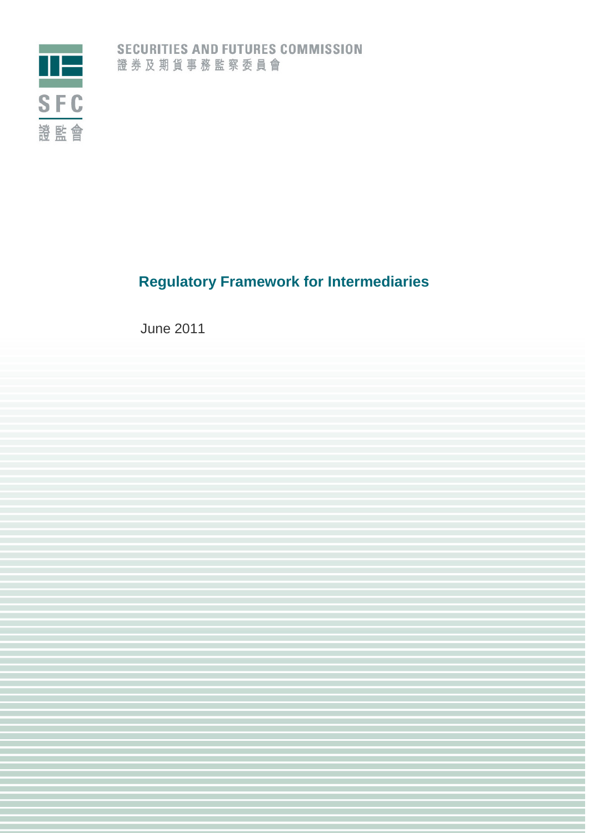

# **Regulatory Framework for Intermediaries**

June 2011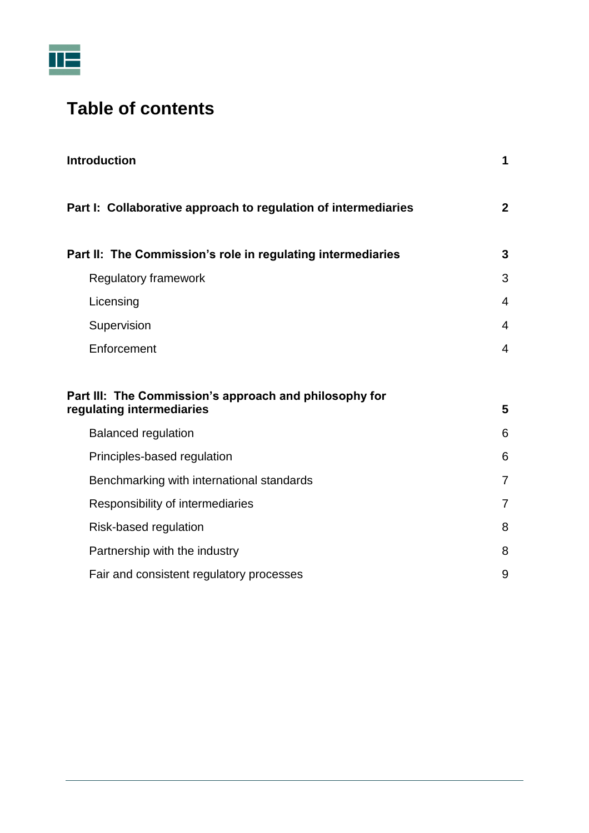

# **Table of contents**

| <b>Introduction</b>                                                                 | 1              |
|-------------------------------------------------------------------------------------|----------------|
| Part I: Collaborative approach to regulation of intermediaries                      | $\mathbf{2}$   |
| Part II: The Commission's role in regulating intermediaries                         | $\mathbf{3}$   |
| <b>Regulatory framework</b>                                                         | 3              |
| Licensing                                                                           | 4              |
| Supervision                                                                         | 4              |
| Enforcement                                                                         | 4              |
| Part III: The Commission's approach and philosophy for<br>regulating intermediaries | 5              |
| <b>Balanced regulation</b>                                                          | 6              |
| Principles-based regulation                                                         | 6              |
| Benchmarking with international standards                                           | $\overline{7}$ |
| Responsibility of intermediaries                                                    | $\overline{7}$ |
| Risk-based regulation                                                               | 8              |
| Partnership with the industry                                                       | 8              |
| Fair and consistent regulatory processes                                            | 9              |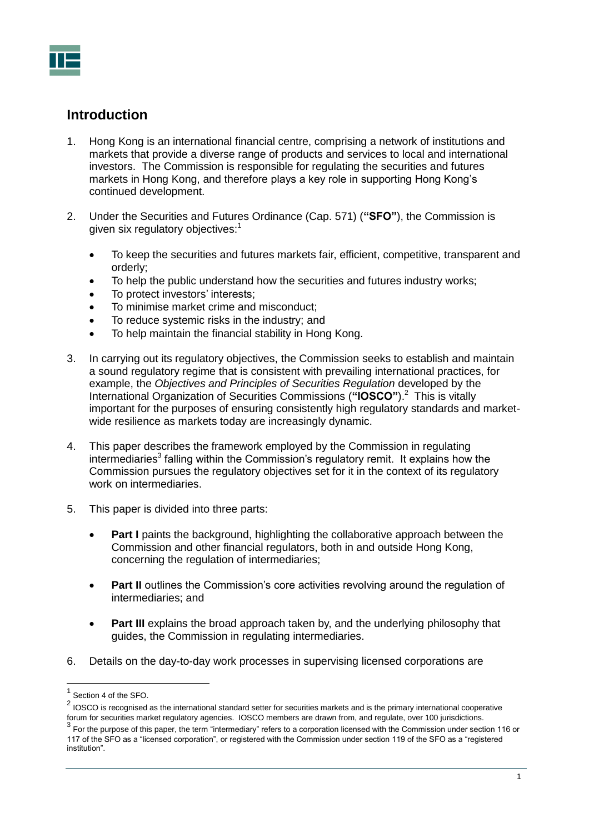## <span id="page-2-0"></span>**Introduction**

- 1. Hong Kong is an international financial centre, comprising a network of institutions and markets that provide a diverse range of products and services to local and international investors. The Commission is responsible for regulating the securities and futures markets in Hong Kong, and therefore plays a key role in supporting Hong Kong's continued development.
- 2. Under the Securities and Futures Ordinance (Cap. 571) (**"SFO"**), the Commission is given six regulatory objectives:<sup>1</sup>
	- To keep the securities and futures markets fair, efficient, competitive, transparent and orderly;
	- To help the public understand how the securities and futures industry works;
	- To protect investors' interests;
	- To minimise market crime and misconduct;
	- To reduce systemic risks in the industry; and
	- To help maintain the financial stability in Hong Kong.
- 3. In carrying out its regulatory objectives, the Commission seeks to establish and maintain a sound regulatory regime that is consistent with prevailing international practices, for example, the *Objectives and Principles of Securities Regulation* developed by the International Organization of Securities Commissions (**"IOSCO"**).<sup>2</sup> This is vitally important for the purposes of ensuring consistently high regulatory standards and marketwide resilience as markets today are increasingly dynamic.
- 4. This paper describes the framework employed by the Commission in regulating intermediaries<sup>3</sup> falling within the Commission's regulatory remit. It explains how the Commission pursues the regulatory objectives set for it in the context of its regulatory work on intermediaries.
- 5. This paper is divided into three parts:
	- **Part I** paints the background, highlighting the collaborative approach between the Commission and other financial regulators, both in and outside Hong Kong, concerning the regulation of intermediaries;
	- **Part II** outlines the Commission's core activities revolving around the regulation of intermediaries; and
	- **•** Part III explains the broad approach taken by, and the underlying philosophy that guides, the Commission in regulating intermediaries.
- 6. Details on the day-to-day work processes in supervising licensed corporations are

<sup>&</sup>lt;sup>1</sup> Section 4 of the SFO.

 $2$  IOSCO is recognised as the international standard setter for securities markets and is the primary international cooperative forum for securities market regulatory agencies. IOSCO members are drawn from, and regulate, over 100 jurisdictions.

 $^3$  For the purpose of this paper, the term "intermediary" refers to a corporation licensed with the Commission under section 116 or 117 of the SFO as a "licensed corporation", or registered with the Commission under section 119 of the SFO as a "registered institution".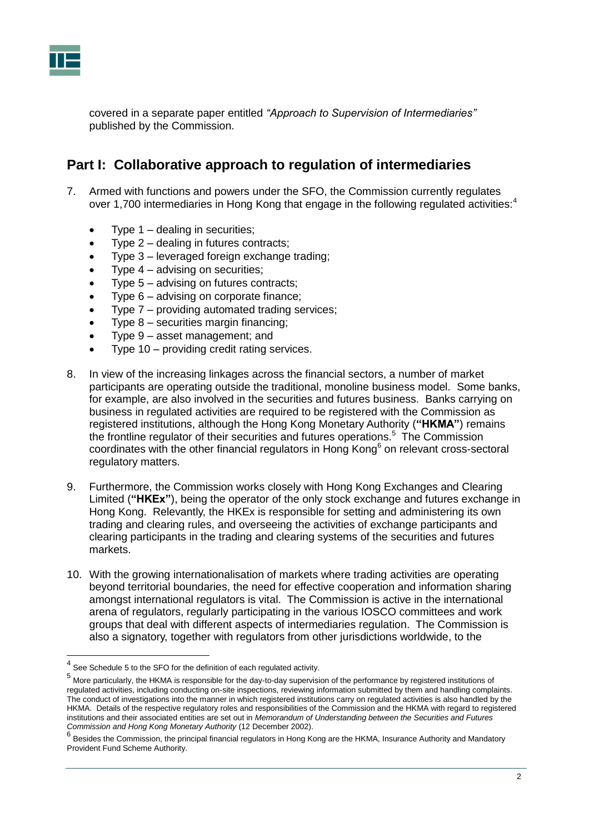

covered in a separate paper entitled *"Approach to Supervision of Intermediaries"* published by the Commission.

## <span id="page-3-0"></span>**Part I: Collaborative approach to regulation of intermediaries**

- 7. Armed with functions and powers under the SFO, the Commission currently regulates over 1,700 intermediaries in Hong Kong that engage in the following regulated activities:<sup>4</sup>
	- Type  $1$  dealing in securities;
	- Type 2 dealing in futures contracts;
	- Type 3 leveraged foreign exchange trading;
	- Type  $4 -$  advising on securities;
	- Type 5 advising on futures contracts;
	- Type 6 advising on corporate finance;
	- Type 7 providing automated trading services;
	- Type 8 securities margin financing;
	- Type 9 asset management; and
	- Type 10 providing credit rating services.
- 8. In view of the increasing linkages across the financial sectors, a number of market participants are operating outside the traditional, monoline business model. Some banks, for example, are also involved in the securities and futures business. Banks carrying on business in regulated activities are required to be registered with the Commission as registered institutions, although the Hong Kong Monetary Authority (**"HKMA"**) remains the frontline regulator of their securities and futures operations.<sup>5</sup> The Commission coordinates with the other financial regulators in Hong Kong $6$  on relevant cross-sectoral regulatory matters.
- 9. Furthermore, the Commission works closely with Hong Kong Exchanges and Clearing Limited (**"HKEx"**), being the operator of the only stock exchange and futures exchange in Hong Kong. Relevantly, the HKEx is responsible for setting and administering its own trading and clearing rules, and overseeing the activities of exchange participants and clearing participants in the trading and clearing systems of the securities and futures markets.
- 10. With the growing internationalisation of markets where trading activities are operating beyond territorial boundaries, the need for effective cooperation and information sharing amongst international regulators is vital. The Commission is active in the international arena of regulators, regularly participating in the various IOSCO committees and work groups that deal with different aspects of intermediaries regulation. The Commission is also a signatory, together with regulators from other jurisdictions worldwide, to the

 4 See Schedule 5 to the SFO for the definition of each regulated activity.

<sup>&</sup>lt;sup>5</sup> More particularly, the HKMA is responsible for the day-to-day supervision of the performance by registered institutions of regulated activities, including conducting on-site inspections, reviewing information submitted by them and handling complaints. The conduct of investigations into the manner in which registered institutions carry on regulated activities is also handled by the HKMA. Details of the respective regulatory roles and responsibilities of the Commission and the HKMA with regard to registered institutions and their associated entities are set out in *Memorandum of Understanding between the Securities and Futures Commission and Hong Kong Monetary Authority* (12 December 2002).

<sup>&</sup>lt;sup>6</sup> Besides the Commission, the principal financial regulators in Hong Kong are the HKMA, Insurance Authority and Mandatory Provident Fund Scheme Authority.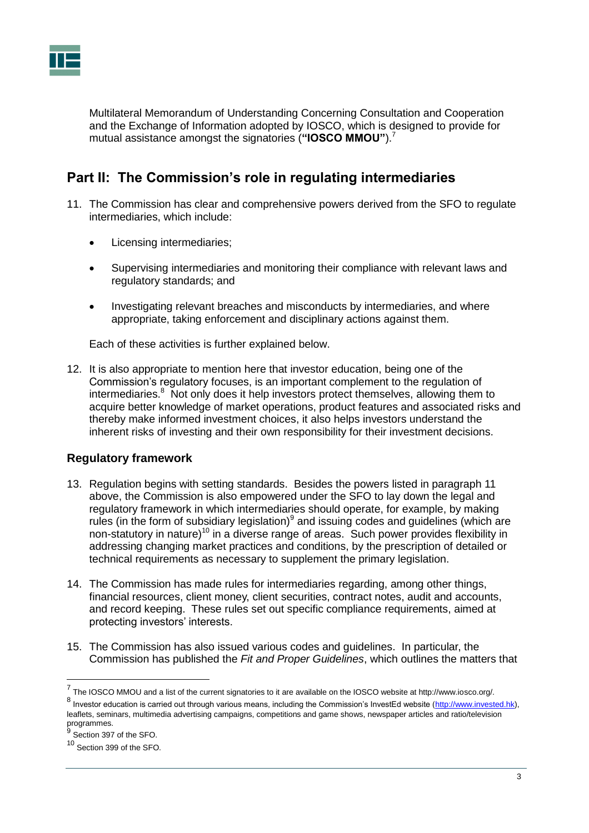

Multilateral Memorandum of Understanding Concerning Consultation and Cooperation and the Exchange of Information adopted by IOSCO, which is designed to provide for mutual assistance amongst the signatories (**"IOSCO MMOU"**). 7

# <span id="page-4-0"></span>**Part II: The Commission's role in regulating intermediaries**

- 11. The Commission has clear and comprehensive powers derived from the SFO to regulate intermediaries, which include:
	- Licensing intermediaries;
	- Supervising intermediaries and monitoring their compliance with relevant laws and regulatory standards; and
	- Investigating relevant breaches and misconducts by intermediaries, and where appropriate, taking enforcement and disciplinary actions against them.

Each of these activities is further explained below.

12. It is also appropriate to mention here that investor education, being one of the Commission's regulatory focuses, is an important complement to the regulation of intermediaries.<sup>8</sup> Not only does it help investors protect themselves, allowing them to acquire better knowledge of market operations, product features and associated risks and thereby make informed investment choices, it also helps investors understand the inherent risks of investing and their own responsibility for their investment decisions.

## <span id="page-4-1"></span>**Regulatory framework**

- 13. Regulation begins with setting standards. Besides the powers listed in paragraph 11 above, the Commission is also empowered under the SFO to lay down the legal and regulatory framework in which intermediaries should operate, for example, by making rules (in the form of subsidiary legislation) $9$  and issuing codes and guidelines (which are non-statutory in nature)<sup>10</sup> in a diverse range of areas. Such power provides flexibility in addressing changing market practices and conditions, by the prescription of detailed or technical requirements as necessary to supplement the primary legislation.
- 14. The Commission has made rules for intermediaries regarding, among other things, financial resources, client money, client securities, contract notes, audit and accounts, and record keeping. These rules set out specific compliance requirements, aimed at protecting investors' interests.
- 15. The Commission has also issued various codes and guidelines. In particular, the Commission has published the *Fit and Proper Guidelines*, which outlines the matters that

 7 The IOSCO MMOU and a list of the current signatories to it are available on the IOSCO website at http://www.iosco.org/.

<sup>&</sup>lt;sup>8</sup> Investor education is carried out through various means, including the Commission's InvestEd website [\(http://www.invested.hk\)](http://www.invested.hk/), leaflets, seminars, multimedia advertising campaigns, competitions and game shows, newspaper articles and ratio/television programmes.<br><sup>9</sup> Castian 207

Section 397 of the SFO.

<sup>10</sup> Section 399 of the SFO.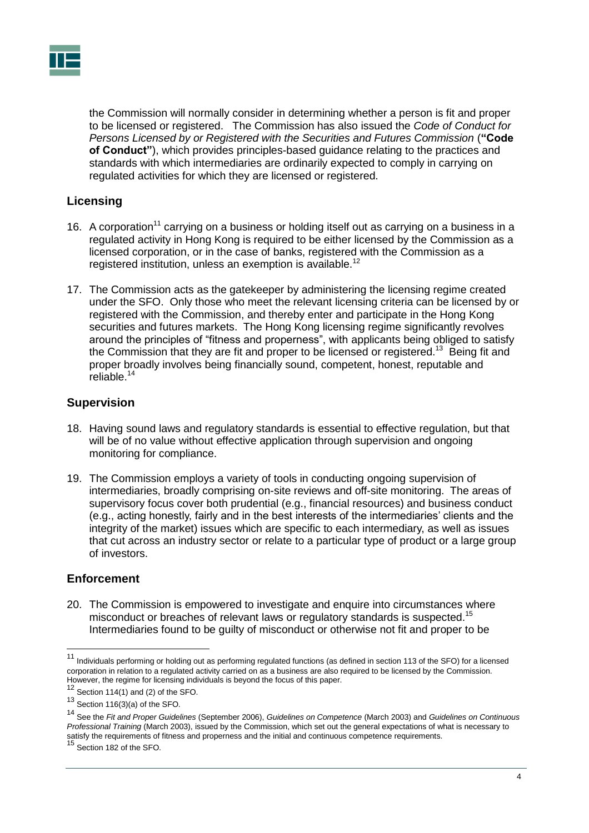

the Commission will normally consider in determining whether a person is fit and proper to be licensed or registered. The Commission has also issued the *Code of Conduct for Persons Licensed by or Registered with the Securities and Futures Commission* (**"Code of Conduct"**), which provides principles-based guidance relating to the practices and standards with which intermediaries are ordinarily expected to comply in carrying on regulated activities for which they are licensed or registered.

## <span id="page-5-0"></span>**Licensing**

- 16. A corporation<sup>11</sup> carrying on a business or holding itself out as carrying on a business in a regulated activity in Hong Kong is required to be either licensed by the Commission as a licensed corporation, or in the case of banks, registered with the Commission as a registered institution, unless an exemption is available.<sup>12</sup>
- 17. The Commission acts as the gatekeeper by administering the licensing regime created under the SFO. Only those who meet the relevant licensing criteria can be licensed by or registered with the Commission, and thereby enter and participate in the Hong Kong securities and futures markets. The Hong Kong licensing regime significantly revolves around the principles of "fitness and properness", with applicants being obliged to satisfy the Commission that they are fit and proper to be licensed or registered.<sup>13</sup> Being fit and proper broadly involves being financially sound, competent, honest, reputable and reliable.<sup>14</sup>

## <span id="page-5-1"></span>**Supervision**

- 18. Having sound laws and regulatory standards is essential to effective regulation, but that will be of no value without effective application through supervision and ongoing monitoring for compliance.
- 19. The Commission employs a variety of tools in conducting ongoing supervision of intermediaries, broadly comprising on-site reviews and off-site monitoring. The areas of supervisory focus cover both prudential (e.g., financial resources) and business conduct (e.g., acting honestly, fairly and in the best interests of the intermediaries' clients and the integrity of the market) issues which are specific to each intermediary, as well as issues that cut across an industry sector or relate to a particular type of product or a large group of investors.

## <span id="page-5-2"></span>**Enforcement**

20. The Commission is empowered to investigate and enquire into circumstances where misconduct or breaches of relevant laws or regulatory standards is suspected.<sup>15</sup> Intermediaries found to be guilty of misconduct or otherwise not fit and proper to be

<sup>&</sup>lt;sup>11</sup> Individuals performing or holding out as performing regulated functions (as defined in section 113 of the SFO) for a licensed corporation in relation to a regulated activity carried on as a business are also required to be licensed by the Commission. However, the regime for licensing individuals is beyond the focus of this paper.

 $12$  Section 114(1) and (2) of the SFO.

<sup>13</sup> Section 116(3)(a) of the SFO.

<sup>14</sup> See the *Fit and Proper Guidelines* (September 2006), *Guidelines on Competence* (March 2003) and *Guidelines on Continuous Professional Training* (March 2003), issued by the Commission, which set out the general expectations of what is necessary to satisfy the requirements of fitness and properness and the initial and continuous competence requirements.

<sup>15</sup> Section 182 of the SFO.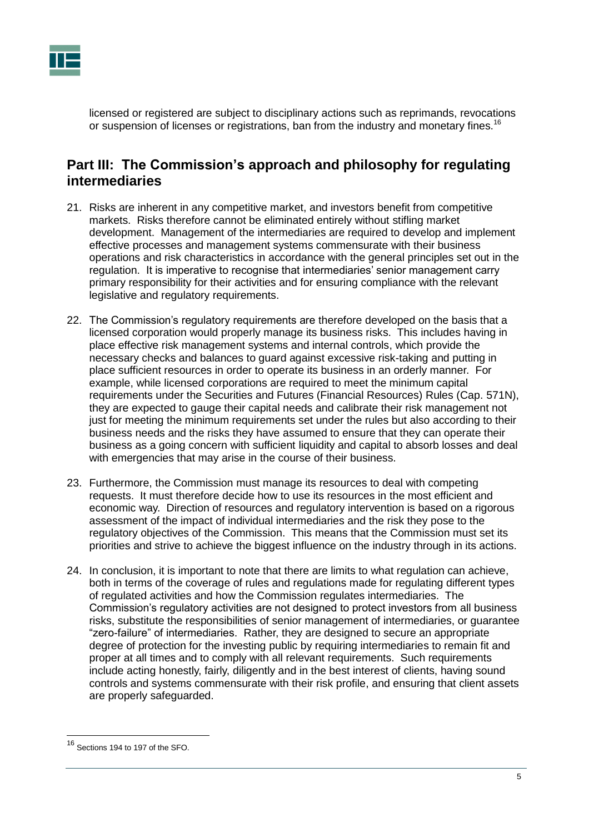

licensed or registered are subject to disciplinary actions such as reprimands, revocations or suspension of licenses or registrations, ban from the industry and monetary fines.<sup>16</sup>

## <span id="page-6-0"></span>**Part III: The Commission's approach and philosophy for regulating intermediaries**

- 21. Risks are inherent in any competitive market, and investors benefit from competitive markets. Risks therefore cannot be eliminated entirely without stifling market development. Management of the intermediaries are required to develop and implement effective processes and management systems commensurate with their business operations and risk characteristics in accordance with the general principles set out in the regulation. It is imperative to recognise that intermediaries' senior management carry primary responsibility for their activities and for ensuring compliance with the relevant legislative and regulatory requirements.
- 22. The Commission's regulatory requirements are therefore developed on the basis that a licensed corporation would properly manage its business risks. This includes having in place effective risk management systems and internal controls, which provide the necessary checks and balances to guard against excessive risk-taking and putting in place sufficient resources in order to operate its business in an orderly manner. For example, while licensed corporations are required to meet the minimum capital requirements under the Securities and Futures (Financial Resources) Rules (Cap. 571N), they are expected to gauge their capital needs and calibrate their risk management not just for meeting the minimum requirements set under the rules but also according to their business needs and the risks they have assumed to ensure that they can operate their business as a going concern with sufficient liquidity and capital to absorb losses and deal with emergencies that may arise in the course of their business.
- 23. Furthermore, the Commission must manage its resources to deal with competing requests. It must therefore decide how to use its resources in the most efficient and economic way. Direction of resources and regulatory intervention is based on a rigorous assessment of the impact of individual intermediaries and the risk they pose to the regulatory objectives of the Commission. This means that the Commission must set its priorities and strive to achieve the biggest influence on the industry through in its actions.
- 24. In conclusion, it is important to note that there are limits to what regulation can achieve, both in terms of the coverage of rules and regulations made for regulating different types of regulated activities and how the Commission regulates intermediaries. The Commission's regulatory activities are not designed to protect investors from all business risks, substitute the responsibilities of senior management of intermediaries, or guarantee "zero-failure" of intermediaries. Rather, they are designed to secure an appropriate degree of protection for the investing public by requiring intermediaries to remain fit and proper at all times and to comply with all relevant requirements. Such requirements include acting honestly, fairly, diligently and in the best interest of clients, having sound controls and systems commensurate with their risk profile, and ensuring that client assets are properly safeguarded.

<sup>16</sup> Sections 194 to 197 of the SFO.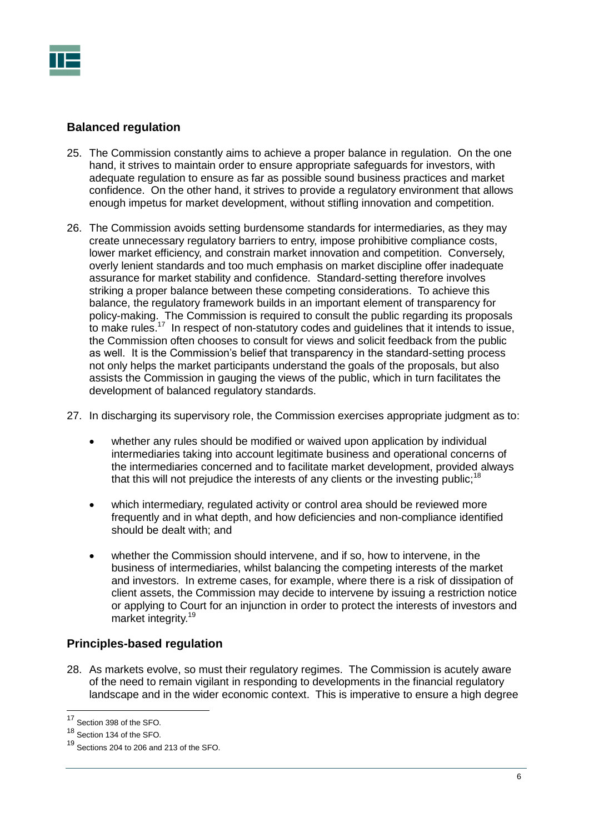

#### <span id="page-7-0"></span>**Balanced regulation**

- 25. The Commission constantly aims to achieve a proper balance in regulation. On the one hand, it strives to maintain order to ensure appropriate safeguards for investors, with adequate regulation to ensure as far as possible sound business practices and market confidence. On the other hand, it strives to provide a regulatory environment that allows enough impetus for market development, without stifling innovation and competition.
- 26. The Commission avoids setting burdensome standards for intermediaries, as they may create unnecessary regulatory barriers to entry, impose prohibitive compliance costs, lower market efficiency, and constrain market innovation and competition. Conversely, overly lenient standards and too much emphasis on market discipline offer inadequate assurance for market stability and confidence. Standard-setting therefore involves striking a proper balance between these competing considerations. To achieve this balance, the regulatory framework builds in an important element of transparency for policy-making. The Commission is required to consult the public regarding its proposals to make rules.<sup>17</sup> In respect of non-statutory codes and guidelines that it intends to issue, the Commission often chooses to consult for views and solicit feedback from the public as well. It is the Commission's belief that transparency in the standard-setting process not only helps the market participants understand the goals of the proposals, but also assists the Commission in gauging the views of the public, which in turn facilitates the development of balanced regulatory standards.
- 27. In discharging its supervisory role, the Commission exercises appropriate judgment as to:
	- whether any rules should be modified or waived upon application by individual intermediaries taking into account legitimate business and operational concerns of the intermediaries concerned and to facilitate market development, provided always that this will not prejudice the interests of any clients or the investing public;<sup>18</sup>
	- which intermediary, regulated activity or control area should be reviewed more frequently and in what depth, and how deficiencies and non-compliance identified should be dealt with; and
	- whether the Commission should intervene, and if so, how to intervene, in the business of intermediaries, whilst balancing the competing interests of the market and investors. In extreme cases, for example, where there is a risk of dissipation of client assets, the Commission may decide to intervene by issuing a restriction notice or applying to Court for an injunction in order to protect the interests of investors and market integrity. 19

## <span id="page-7-1"></span>**Principles-based regulation**

28. As markets evolve, so must their regulatory regimes. The Commission is acutely aware of the need to remain vigilant in responding to developments in the financial regulatory landscape and in the wider economic context. This is imperative to ensure a high degree

 $17$ Section 398 of the SFO.

<sup>18</sup> Section 134 of the SFO.

Sections 204 to 206 and 213 of the SFO.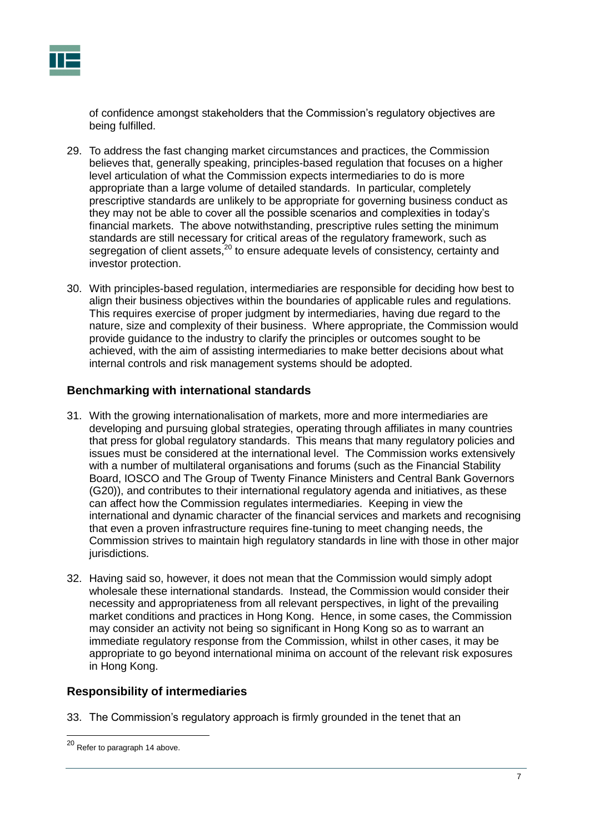

of confidence amongst stakeholders that the Commission's regulatory objectives are being fulfilled.

- 29. To address the fast changing market circumstances and practices, the Commission believes that, generally speaking, principles-based regulation that focuses on a higher level articulation of what the Commission expects intermediaries to do is more appropriate than a large volume of detailed standards. In particular, completely prescriptive standards are unlikely to be appropriate for governing business conduct as they may not be able to cover all the possible scenarios and complexities in today's financial markets. The above notwithstanding, prescriptive rules setting the minimum standards are still necessary for critical areas of the regulatory framework, such as station of client assets,<sup>20</sup> to ensure adequate levels of consistency, certainty and segregation of client assets,<sup>20</sup> to ensure adequate levels of consistency, certainty and investor protection.
- 30. With principles-based regulation, intermediaries are responsible for deciding how best to align their business objectives within the boundaries of applicable rules and regulations. This requires exercise of proper judgment by intermediaries, having due regard to the nature, size and complexity of their business. Where appropriate, the Commission would provide guidance to the industry to clarify the principles or outcomes sought to be achieved, with the aim of assisting intermediaries to make better decisions about what internal controls and risk management systems should be adopted.

## <span id="page-8-0"></span>**Benchmarking with international standards**

- 31. With the growing internationalisation of markets, more and more intermediaries are developing and pursuing global strategies, operating through affiliates in many countries that press for global regulatory standards. This means that many regulatory policies and issues must be considered at the international level. The Commission works extensively with a number of multilateral organisations and forums (such as the Financial Stability Board, IOSCO and The Group of Twenty Finance Ministers and Central Bank Governors (G20)), and contributes to their international regulatory agenda and initiatives, as these can affect how the Commission regulates intermediaries. Keeping in view the international and dynamic character of the financial services and markets and recognising that even a proven infrastructure requires fine-tuning to meet changing needs, the Commission strives to maintain high regulatory standards in line with those in other major jurisdictions.
- 32. Having said so, however, it does not mean that the Commission would simply adopt wholesale these international standards. Instead, the Commission would consider their necessity and appropriateness from all relevant perspectives, in light of the prevailing market conditions and practices in Hong Kong. Hence, in some cases, the Commission may consider an activity not being so significant in Hong Kong so as to warrant an immediate regulatory response from the Commission, whilst in other cases, it may be appropriate to go beyond international minima on account of the relevant risk exposures in Hong Kong.

## <span id="page-8-1"></span>**Responsibility of intermediaries**

33. The Commission's regulatory approach is firmly grounded in the tenet that an

 $^{20}$  Refer to paragraph 14 above.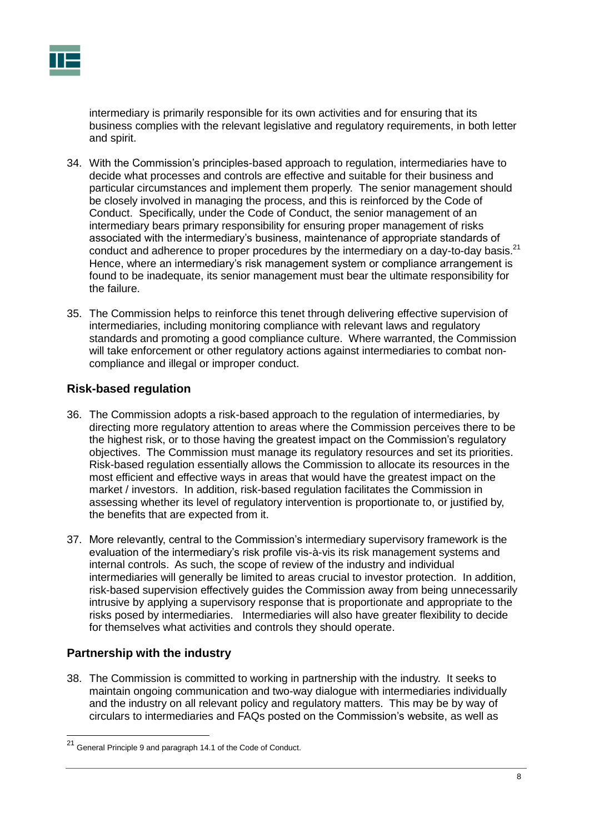

intermediary is primarily responsible for its own activities and for ensuring that its business complies with the relevant legislative and regulatory requirements, in both letter and spirit.

- 34. With the Commission's principles-based approach to regulation, intermediaries have to decide what processes and controls are effective and suitable for their business and particular circumstances and implement them properly. The senior management should be closely involved in managing the process, and this is reinforced by the Code of Conduct. Specifically, under the Code of Conduct, the senior management of an intermediary bears primary responsibility for ensuring proper management of risks associated with the intermediary's business, maintenance of appropriate standards of conduct and adherence to proper procedures by the intermediary on a day-to-day basis.<sup>21</sup> Hence, where an intermediary's risk management system or compliance arrangement is found to be inadequate, its senior management must bear the ultimate responsibility for the failure.
- 35. The Commission helps to reinforce this tenet through delivering effective supervision of intermediaries, including monitoring compliance with relevant laws and regulatory standards and promoting a good compliance culture. Where warranted, the Commission will take enforcement or other regulatory actions against intermediaries to combat noncompliance and illegal or improper conduct.

## <span id="page-9-0"></span>**Risk-based regulation**

- 36. The Commission adopts a risk-based approach to the regulation of intermediaries, by directing more regulatory attention to areas where the Commission perceives there to be the highest risk, or to those having the greatest impact on the Commission's regulatory objectives. The Commission must manage its regulatory resources and set its priorities. Risk-based regulation essentially allows the Commission to allocate its resources in the most efficient and effective ways in areas that would have the greatest impact on the market / investors. In addition, risk-based regulation facilitates the Commission in assessing whether its level of regulatory intervention is proportionate to, or justified by, the benefits that are expected from it.
- 37. More relevantly, central to the Commission's intermediary supervisory framework is the evaluation of the intermediary's risk profile vis-à-vis its risk management systems and internal controls. As such, the scope of review of the industry and individual intermediaries will generally be limited to areas crucial to investor protection. In addition, risk-based supervision effectively guides the Commission away from being unnecessarily intrusive by applying a supervisory response that is proportionate and appropriate to the risks posed by intermediaries. Intermediaries will also have greater flexibility to decide for themselves what activities and controls they should operate.

## <span id="page-9-1"></span>**Partnership with the industry**

38. The Commission is committed to working in partnership with the industry. It seeks to maintain ongoing communication and two-way dialogue with intermediaries individually and the industry on all relevant policy and regulatory matters. This may be by way of circulars to intermediaries and FAQs posted on the Commission's website, as well as

<sup>&</sup>lt;sup>21</sup> General Principle 9 and paragraph 14.1 of the Code of Conduct.